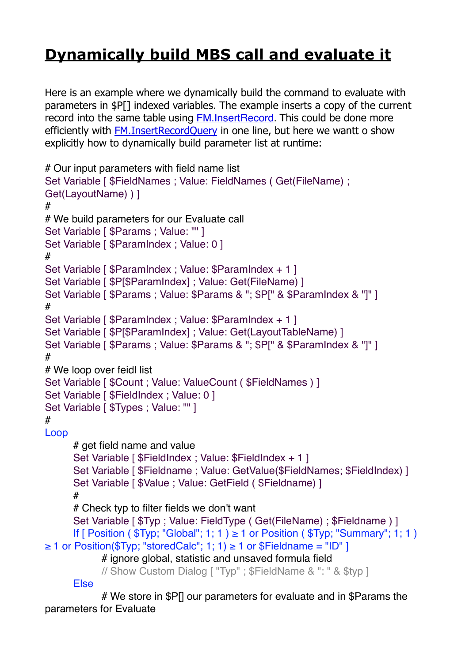## **[Dynamically build MBS call and evaluate it](https://www.mbs-plugins.com/archive/2019-09-19/Dynamically_build_MBS_call_and/monkeybreadsoftware_blog_filemaker)**

Here is an example where we dynamically build the command to evaluate with parameters in \$P[] indexed variables. The example inserts a copy of the current record into the same table using [FM.InsertRecord](http://www.mbsplugins.eu/FMInsertRecord.shtml). This could be done more efficiently with [FM.InsertRecordQuery](http://www.mbsplugins.eu/FMInsertRecordQuery.shtml) in one line, but here we wantt o show explicitly how to dynamically build parameter list at runtime:

```
# Our input parameters with field name list
Set Variable [ $FieldNames ; Value: FieldNames ( Get(FileName) ; 
Get(LayoutName) ) ]
#
# We build parameters for our Evaluate call
Set Variable [ $Params ; Value: "" ]
Set Variable [ $ParamIndex ; Value: 0 ]
#
Set Variable [ $ParamIndex ; Value: $ParamIndex + 1 ]
Set Variable [ P[\$ParamIndex] ; Value: Get(FileName) ]
Set Variable [ $Params ; Value: $Params & "; $P[" & $ParamIndex & "]" ]
#
Set Variable [ $ParamIndex ; Value: $ParamIndex + 1 ]
Set Variable [ $P[$ParamIndex] ; Value: Get(LayoutTableName) ]
Set Variable [ $Params ; Value: $Params & "; $P[" & $ParamIndex & "]" ]
#
# We loop over feidl list
Set Variable [ $Count : Value: ValueCount ( $FieldNames ) ]
Set Variable [ $FieldIndex ; Value: 0 ]
Set Variable [ $Types ; Value: "" ]
#
Loop
      # get field name and value
      Set Variable [ $FieldIndex ; Value: $FieldIndex + 1 ]
      Set Variable [ $Fieldname ; Value: GetValue($FieldNames; $FieldIndex) ]
      Set Variable [ $Value: Value: GetField ( $Fieldname) ]#
      # Check typ to filter fields we don't want
      Set Variable [ T\ ; Value: FieldType ( Get(FileName) ; FFieldname ) ]
      If [ Position ( Typ; "Global"; 1; 1 ) \geq 1 or Position ( Typ; "Summary"; 1; 1 )
≥ 1 or Position($Typ; "storedCalc"; 1; 1) ≥ 1 or $Fieldname = "ID" ]
            # ignore global, statistic and unsaved formula field
            // Show Custom Dialog [ "Typ" ; $FieldName & ": " & $typ ]
      Else
```
# We store in \$P[] our parameters for evaluate and in \$Params the parameters for Evaluate